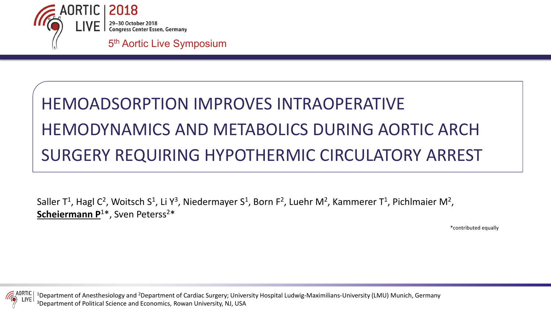

# HEMOADSORPTION IMPROVES INTRAOPERATIVE HEMODYNAMICS AND METABOLICS DURING AORTIC ARCH SURGERY REQUIRING HYPOTHERMIC CIRCULATORY ARREST

Saller T<sup>1</sup>, Hagl C<sup>2</sup>, Woitsch S<sup>1</sup>, Li Y<sup>3</sup>, Niedermayer S<sup>1</sup>, Born F<sup>2</sup>, Luehr M<sup>2</sup>, Kammerer T<sup>1</sup>, Pichlmaier M<sup>2</sup>, Scheiermann P<sup>1\*</sup>, Sven Peterss<sup>2\*</sup>

\*contributed equally



<sup>1</sup>Department of Anesthesiology and <sup>2</sup>Department of Cardiac Surgery; University Hospital Ludwig-Maximilians-University (LMU) Munich, Germany 3Department of Political Science and Economics, Rowan University, NJ, USA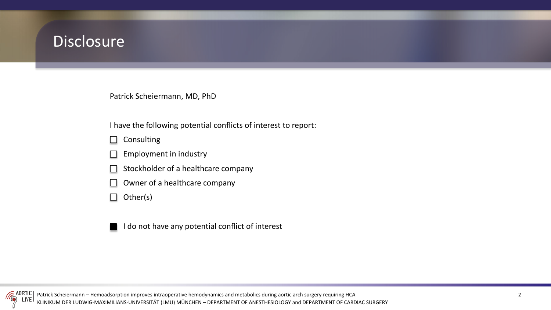### **Disclosure**

Patrick Scheiermann, MD, PhD

I have the following potential conflicts of interest to report:

Consulting  $\Box$ 

- Employment in industry
- Stockholder of a healthcare company
- Owner of a healthcare company  $\blacksquare$

Other(s)  $\Box$ 

I do not have any potential conflict of interest

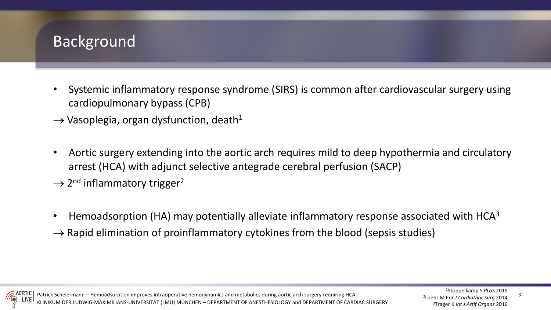### Background

- Systemic inflammatory response syndrome (SIRS) is common after cardiovascular surgery using cardiopulmonary bypass (CPB)
- $\rightarrow$  Vasoplegia, organ dysfunction, death<sup>1</sup>
- Aortic surgery extending into the aortic arch requires mild to deep hypothermia and circulatory arrest (HCA) with adjunct selective antegrade cerebral perfusion (SACP)
- $\rightarrow$  2<sup>nd</sup> inflammatory trigger<sup>2</sup>
- Hemoadsorption (HA) may potentially alleviate inflammatory response associated with HCA<sup>3</sup>
- $\rightarrow$  Rapid elimination of proinflammatory cytokines from the blood (sepsis studies)

3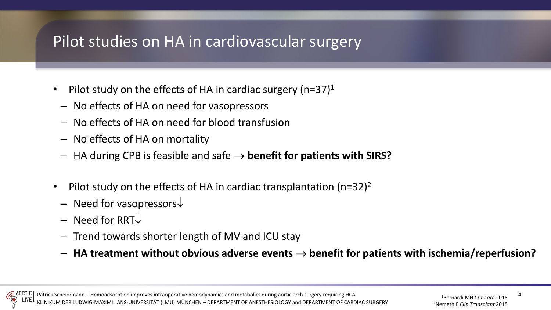### Pilot studies on HA in cardiovascular surgery

- Pilot study on the effects of HA in cardiac surgery (n=37) $1$
- No effects of HA on need for vasopressors
- No effects of HA on need for blood transfusion
- No effects of HA on mortality
- HA during CPB is feasible and safe → **benefit for patients with SIRS?**
- Pilot study on the effects of HA in cardiac transplantation (n=32)<sup>2</sup>
	- Need for vasopressors↓
	- Need for RRT↓
	- Trend towards shorter length of MV and ICU stay
	- **HA treatment without obvious adverse events** → **benefit for patients with ischemia/reperfusion?**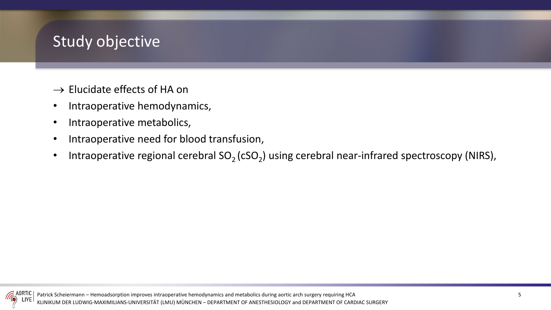### Study objective

- $\rightarrow$  Elucidate effects of HA on
- Intraoperative hemodynamics,
- Intraoperative metabolics,
- Intraoperative need for blood transfusion,
- Intraoperative regional cerebral  $SO_2$  (cSO<sub>2</sub>) using cerebral near-infrared spectroscopy (NIRS),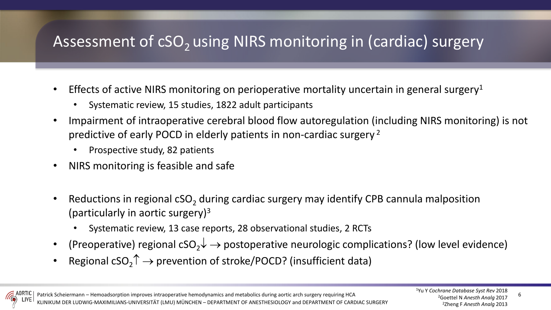## Assessment of cSO<sub>2</sub> using NIRS monitoring in (cardiac) surgery

- Effects of active NIRS monitoring on perioperative mortality uncertain in general surgery<sup>1</sup>
	- Systematic review, 15 studies, 1822 adult participants
- Impairment of intraoperative cerebral blood flow autoregulation (including NIRS monitoring) is not predictive of early POCD in elderly patients in non-cardiac surgery <sup>2</sup>
	- Prospective study, 82 patients
- NIRS monitoring is feasible and safe
- Reductions in regional  $cSO<sub>2</sub>$  during cardiac surgery may identify CPB cannula malposition (particularly in aortic surgery)3
	- Systematic review, 13 case reports, 28 observational studies, 2 RCTs
- (Preoperative) regional cSO<sub>2</sub> $\downarrow \rightarrow$  postoperative neurologic complications? (low level evidence)
- Regional  $cSO_2 \uparrow \rightarrow$  prevention of stroke/POCD? (insufficient data)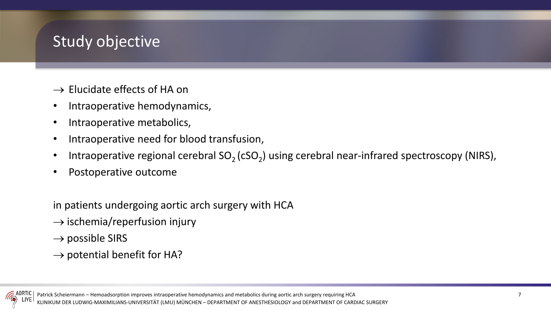### Study objective

- $\rightarrow$  Elucidate effects of HA on
- Intraoperative hemodynamics,
- Intraoperative metabolics,
- Intraoperative need for blood transfusion,
- Intraoperative regional cerebral  $SO<sub>2</sub>$  (cSO<sub>2</sub>) using cerebral near-infrared spectroscopy (NIRS),
- Postoperative outcome

in patients undergoing aortic arch surgery with HCA

- $\rightarrow$  ischemia/reperfusion injury
- $\rightarrow$  possible SIRS
- $\rightarrow$  potential benefit for HA?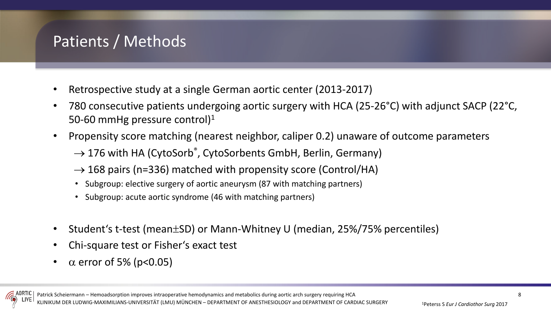### Patients / Methods

- Retrospective study at a single German aortic center (2013-2017)
- 780 consecutive patients undergoing aortic surgery with HCA (25-26°C) with adjunct SACP (22°C, 50-60 mmHg pressure control)<sup>1</sup>
- Propensity score matching (nearest neighbor, caliper 0.2) unaware of outcome parameters
	- $\rightarrow$  176 with HA (CytoSorb®, CytoSorbents GmbH, Berlin, Germany)
	- $\rightarrow$  168 pairs (n=336) matched with propensity score (Control/HA)
	- Subgroup: elective surgery of aortic aneurysm (87 with matching partners)
	- Subgroup: acute aortic syndrome (46 with matching partners)
- Student's t-test (mean±SD) or Mann-Whitney U (median, 25%/75% percentiles)
- Chi-square test or Fisher's exact test
- $\alpha$  error of 5% (p<0.05)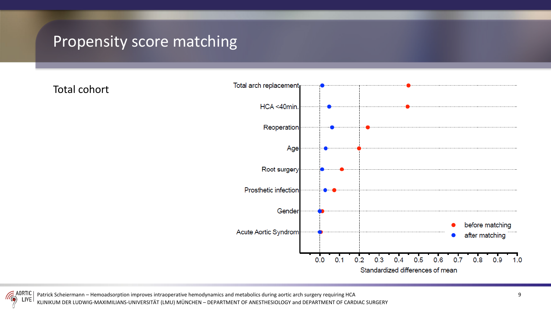### Propensity score matching

Total cohort



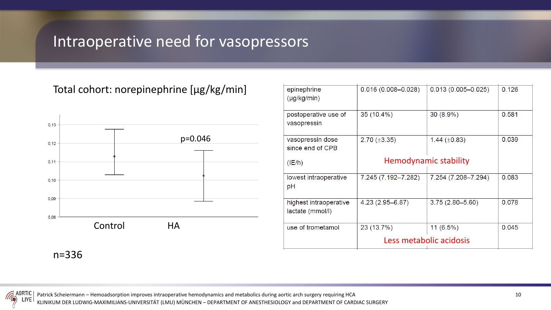### Intraoperative need for vasopressors

### Total cohort: norepinephrine [µg/kg/min]



| $0.016(0.008 - 0.028)$                               | $0.013(0.005 - 0.025)$ | 0.126 |
|------------------------------------------------------|------------------------|-------|
| $35(10.4\%)$                                         | $30(8.9\%)$            | 0.581 |
| $2.70 (\pm 3.35)$                                    | 1.44 $(\pm 0.83)$      | 0.039 |
| <b>Hemodynamic stability</b>                         |                        |       |
| 7.245 (7.192-7.282)                                  | 7.254 (7.208-7.294)    | 0.083 |
| 4.23 (2.95-6.87)                                     | $3.75(2.80 - 5.60)$    | 0.078 |
| 23 (13.7%)<br>$11(6.5\%)$<br>Less metabolic acidosis |                        | 0.045 |
|                                                      |                        |       |

n=336

Patrick Scheiermann – Hemoadsorption improves intraoperative hemodynamics and metabolics during aortic arch surgery requiring HCA

KLINIKUM DER LUDWIG-MAXIMILIANS-UNIVERSITÄT (LMU) MÜNCHEN – DEPARTMENT OF ANESTHESIOLOGY and DEPARTMENT OF CARDIAC SURGERY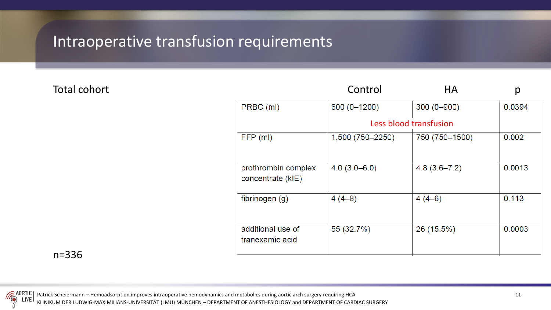### Intraoperative transfusion requirements

#### Total cohort

|                                          | Control          | <b>HA</b>              | р      |
|------------------------------------------|------------------|------------------------|--------|
| PRBC (ml)                                | 600 (0-1200)     | $300(0 - 900)$         | 0.0394 |
|                                          |                  | Less blood transfusion |        |
| FFP (ml)                                 | 1,500 (750-2250) | 750 (750-1500)         | 0.002  |
| prothrombin complex<br>concentrate (kIE) | $4.0(3.0 - 6.0)$ | $4.8(3.6 - 7.2)$       | 0.0013 |
| fibrinogen (g)                           | $4(4-8)$         | $4(4-6)$               | 0.113  |
| additional use of<br>tranexamic acid     | 55 (32.7%)       | 26 (15.5%)             | 0.0003 |

n=336

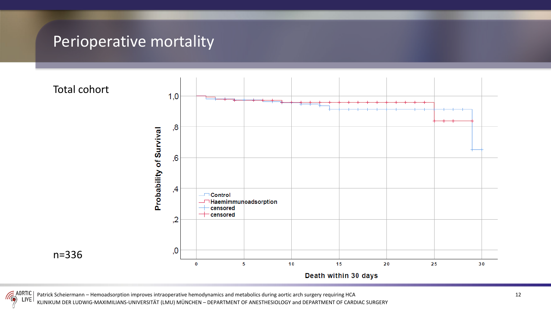### Perioperative mortality



 $\leq$  adrtic Patrick Scheiermann – Hemoadsorption improves intraoperative hemodynamics and metabolics during aortic arch surgery requiring HCA 12 LIVE

KLINIKUM DER LUDWIG-MAXIMILIANS-UNIVERSITÄT (LMU) MÜNCHEN – DEPARTMENT OF ANESTHESIOLOGY and DEPARTMENT OF CARDIAC SURGERY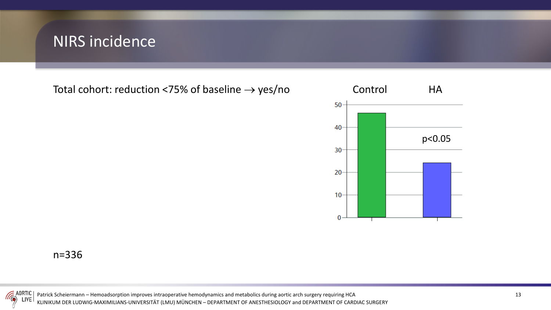### NIRS incidence

Total cohort: reduction <75% of baseline  $\rightarrow$  yes/no Control HA



n=336



Patrick Scheiermann – Hemoadsorption improves intraoperative hemodynamics and metabolics during aortic arch surgery requiring HCA KLINIKUM DER LUDWIG-MAXIMILIANS-UNIVERSITÄT (LMU) MÜNCHEN – DEPARTMENT OF ANESTHESIOLOGY and DEPARTMENT OF CARDIAC SURGERY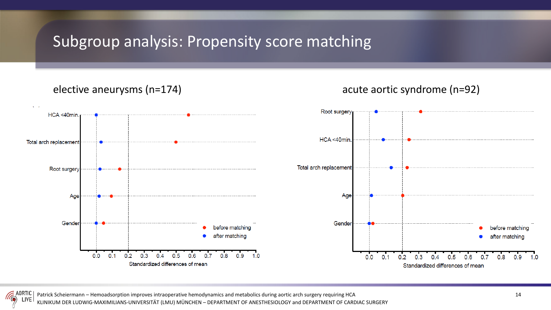### Subgroup analysis: Propensity score matching

#### elective aneurysms (n=174) acute aortic syndrome (n=92)

#### Root surgery HCA <40min HCA <40min Total arch replacement Total arch replacement Root surgery Age Age Gender Gender before matching before matching after matching after matching  $0.0$  $0.2$  $0.5$  $0.1$  $0.3$  $0.4$  $0.6$  $0.7$  $0.8$  $0.9$  1.0  $0.1$  $0.2$  $0.3$  $0.5$  $0.0$  $0.4$  $0.7$  $0.6$  $0.8$  $0.9$  $1.0$ Standardized differences of mean

Standardized differences of mean

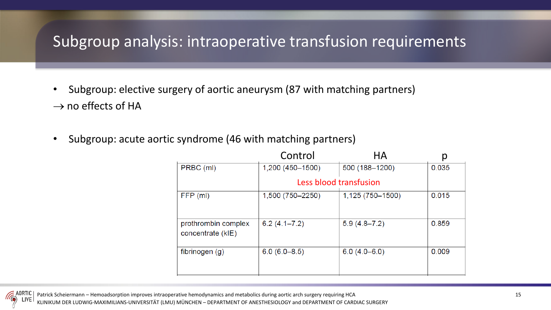### Subgroup analysis: intraoperative transfusion requirements

- Subgroup: elective surgery of aortic aneurysm (87 with matching partners)  $\rightarrow$  no effects of HA
- Subgroup: acute aortic syndrome (46 with matching partners)

|                                          | Control                | ΗA               | ρ     |
|------------------------------------------|------------------------|------------------|-------|
| PRBC (ml)                                | 1,200 (450-1500)       | 500 (188-1200)   | 0.035 |
|                                          | Less blood transfusion |                  |       |
| FFP (ml)                                 | 1,500 (750-2250)       | 1,125 (750-1500) | 0.015 |
| prothrombin complex<br>concentrate (kIE) | $6.2(4.1 - 7.2)$       | $5.9(4.8 - 7.2)$ | 0.859 |
| fibrinogen $(g)$                         | $6.0(6.0-8.5)$         | $6.0(4.0 - 6.0)$ | 0.009 |



KLINIKUM DER LUDWIG-MAXIMILIANS-UNIVERSITÄT (LMU) MÜNCHEN – DEPARTMENT OF ANESTHESIOLOGY and DEPARTMENT OF CARDIAC SURGERY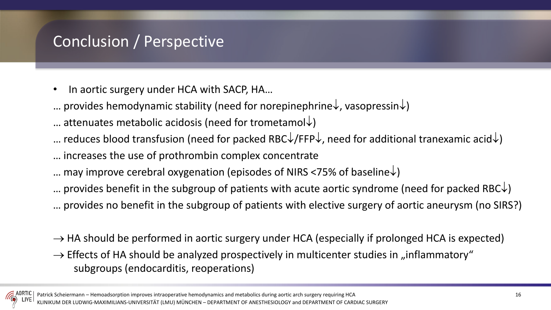### Conclusion / Perspective

- In aortic surgery under HCA with SACP, HA...
- … provides hemodynamic stability (need for norepinephrine↓, vasopressin↓)
- ... attenuates metabolic acidosis (need for trometamol↓)
- … reduces blood transfusion (need for packed RBC $\downarrow$ /FFP $\downarrow$ , need for additional tranexamic acid $\downarrow$ )
- … increases the use of prothrombin complex concentrate
- … may improve cerebral oxygenation (episodes of NIRS <75% of baseline↓)
- … provides benefit in the subgroup of patients with acute aortic syndrome (need for packed RBC $\downarrow$ )
- … provides no benefit in the subgroup of patients with elective surgery of aortic aneurysm (no SIRS?)
- $\rightarrow$  HA should be performed in aortic surgery under HCA (especially if prolonged HCA is expected)
- $\rightarrow$  Effects of HA should be analyzed prospectively in multicenter studies in "inflammatory" subgroups (endocarditis, reoperations)

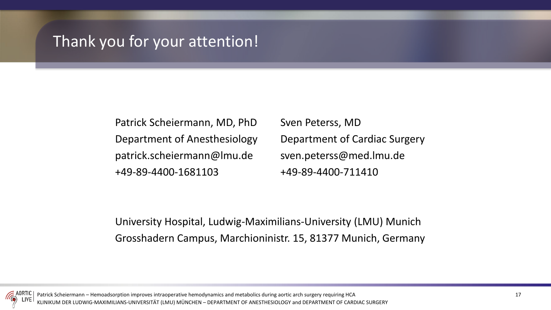### Thank you for your attention!

Patrick Scheiermann, MD, PhD Sven Peterss, MD patrick.scheiermann@lmu.de sven.peterss@med.lmu.de +49-89-4400-1681103 +49-89-4400-711410

Department of Anesthesiology Department of Cardiac Surgery

University Hospital, Ludwig-Maximilians-University (LMU) Munich Grosshadern Campus, Marchioninistr. 15, 81377 Munich, Germany